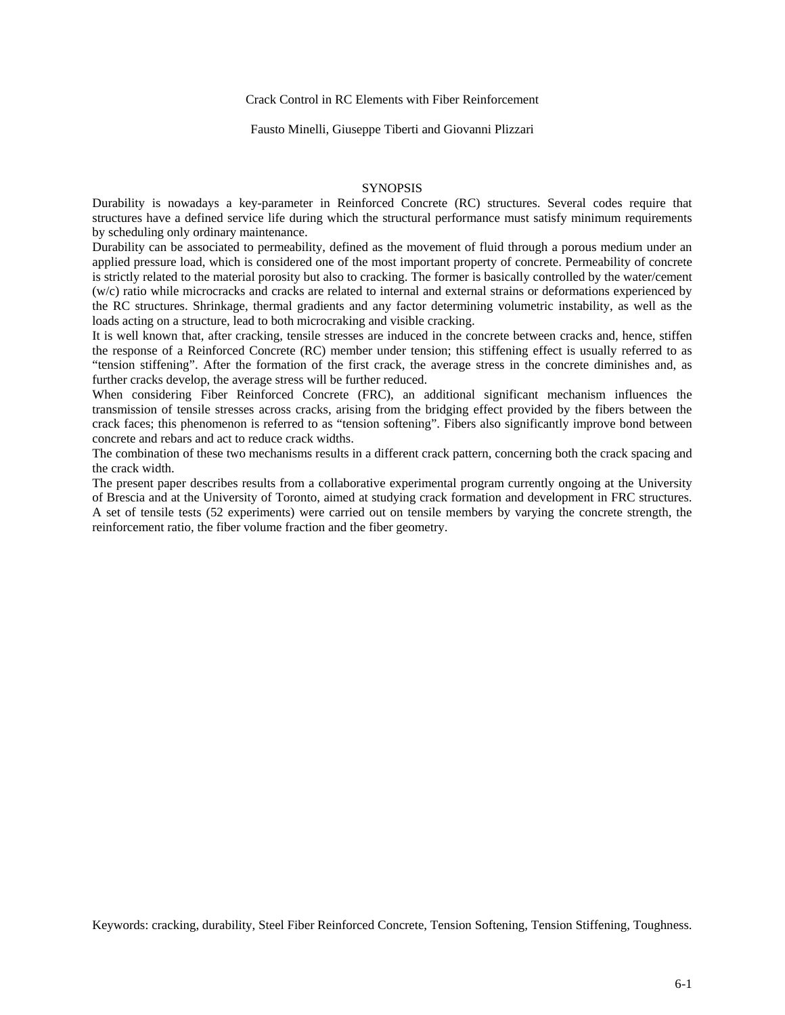#### Crack Control in RC Elements with Fiber Reinforcement

Fausto Minelli, Giuseppe Tiberti and Giovanni Plizzari

#### **SYNOPSIS**

Durability is nowadays a key-parameter in Reinforced Concrete (RC) structures. Several codes require that structures have a defined service life during which the structural performance must satisfy minimum requirements by scheduling only ordinary maintenance.

Durability can be associated to permeability, defined as the movement of fluid through a porous medium under an applied pressure load, which is considered one of the most important property of concrete. Permeability of concrete is strictly related to the material porosity but also to cracking. The former is basically controlled by the water/cement (w/c) ratio while microcracks and cracks are related to internal and external strains or deformations experienced by the RC structures. Shrinkage, thermal gradients and any factor determining volumetric instability, as well as the loads acting on a structure, lead to both microcraking and visible cracking.

It is well known that, after cracking, tensile stresses are induced in the concrete between cracks and, hence, stiffen the response of a Reinforced Concrete (RC) member under tension; this stiffening effect is usually referred to as "tension stiffening". After the formation of the first crack, the average stress in the concrete diminishes and, as further cracks develop, the average stress will be further reduced.

When considering Fiber Reinforced Concrete (FRC), an additional significant mechanism influences the transmission of tensile stresses across cracks, arising from the bridging effect provided by the fibers between the crack faces; this phenomenon is referred to as "tension softening". Fibers also significantly improve bond between concrete and rebars and act to reduce crack widths.

The combination of these two mechanisms results in a different crack pattern, concerning both the crack spacing and the crack width.

The present paper describes results from a collaborative experimental program currently ongoing at the University of Brescia and at the University of Toronto, aimed at studying crack formation and development in FRC structures. A set of tensile tests (52 experiments) were carried out on tensile members by varying the concrete strength, the reinforcement ratio, the fiber volume fraction and the fiber geometry.

Keywords: cracking, durability, Steel Fiber Reinforced Concrete, Tension Softening, Tension Stiffening, Toughness.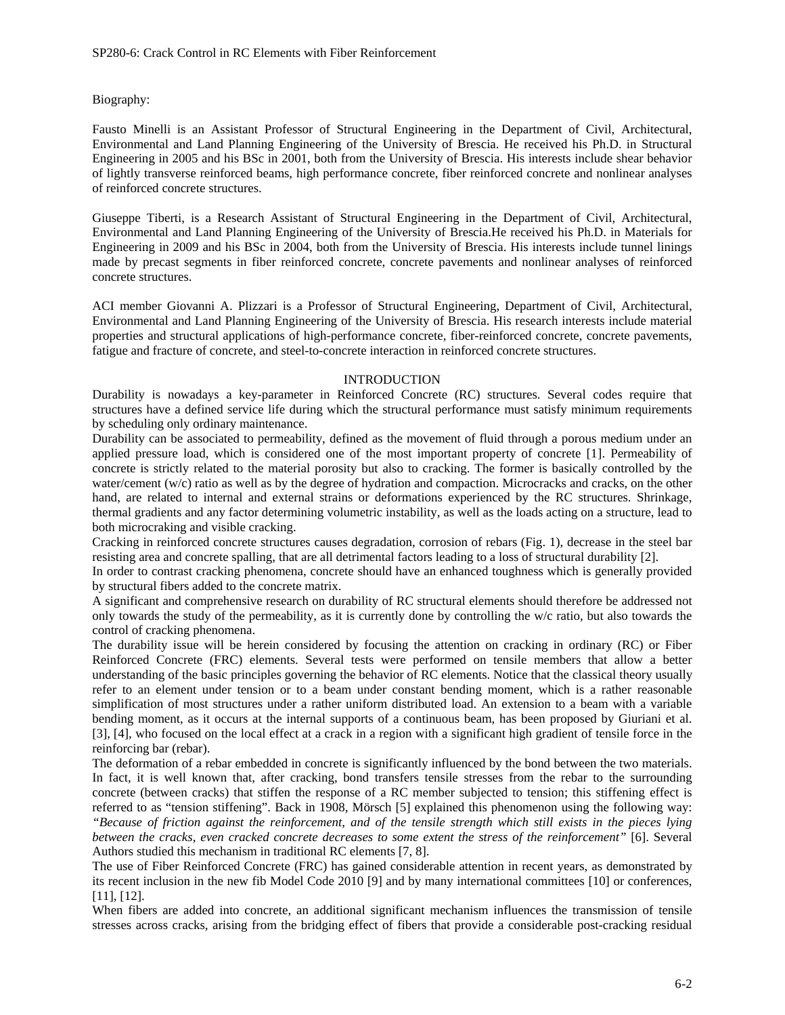# Biography:

Fausto Minelli is an Assistant Professor of Structural Engineering in the Department of Civil, Architectural, Environmental and Land Planning Engineering of the University of Brescia. He received his Ph.D. in Structural Engineering in 2005 and his BSc in 2001, both from the University of Brescia. His interests include shear behavior of lightly transverse reinforced beams, high performance concrete, fiber reinforced concrete and nonlinear analyses of reinforced concrete structures.

Giuseppe Tiberti, is a Research Assistant of Structural Engineering in the Department of Civil, Architectural, Environmental and Land Planning Engineering of the University of Brescia.He received his Ph.D. in Materials for Engineering in 2009 and his BSc in 2004, both from the University of Brescia. His interests include tunnel linings made by precast segments in fiber reinforced concrete, concrete pavements and nonlinear analyses of reinforced concrete structures.

ACI member Giovanni A. Plizzari is a Professor of Structural Engineering, Department of Civil, Architectural, Environmental and Land Planning Engineering of the University of Brescia. His research interests include material properties and structural applications of high-performance concrete, fiber-reinforced concrete, concrete pavements, fatigue and fracture of concrete, and steel-to-concrete interaction in reinforced concrete structures.

# **INTRODUCTION**

Durability is nowadays a key-parameter in Reinforced Concrete (RC) structures. Several codes require that structures have a defined service life during which the structural performance must satisfy minimum requirements by scheduling only ordinary maintenance.

Durability can be associated to permeability, defined as the movement of fluid through a porous medium under an applied pressure load, which is considered one of the most important property of concrete [1]. Permeability of concrete is strictly related to the material porosity but also to cracking. The former is basically controlled by the water/cement (w/c) ratio as well as by the degree of hydration and compaction. Microcracks and cracks, on the other hand, are related to internal and external strains or deformations experienced by the RC structures. Shrinkage, thermal gradients and any factor determining volumetric instability, as well as the loads acting on a structure, lead to both microcraking and visible cracking.

Cracking in reinforced concrete structures causes degradation, corrosion of rebars (Fig. 1), decrease in the steel bar resisting area and concrete spalling, that are all detrimental factors leading to a loss of structural durability [2].

In order to contrast cracking phenomena, concrete should have an enhanced toughness which is generally provided by structural fibers added to the concrete matrix.

A significant and comprehensive research on durability of RC structural elements should therefore be addressed not only towards the study of the permeability, as it is currently done by controlling the w/c ratio, but also towards the control of cracking phenomena.

The durability issue will be herein considered by focusing the attention on cracking in ordinary (RC) or Fiber Reinforced Concrete (FRC) elements. Several tests were performed on tensile members that allow a better understanding of the basic principles governing the behavior of RC elements. Notice that the classical theory usually refer to an element under tension or to a beam under constant bending moment, which is a rather reasonable simplification of most structures under a rather uniform distributed load. An extension to a beam with a variable bending moment, as it occurs at the internal supports of a continuous beam, has been proposed by Giuriani et al. [3], [4], who focused on the local effect at a crack in a region with a significant high gradient of tensile force in the reinforcing bar (rebar).

The deformation of a rebar embedded in concrete is significantly influenced by the bond between the two materials. In fact, it is well known that, after cracking, bond transfers tensile stresses from the rebar to the surrounding concrete (between cracks) that stiffen the response of a RC member subjected to tension; this stiffening effect is referred to as "tension stiffening". Back in 1908, Mörsch [5] explained this phenomenon using the following way: *"Because of friction against the reinforcement, and of the tensile strength which still exists in the pieces lying between the cracks, even cracked concrete decreases to some extent the stress of the reinforcement"* [6]. Several Authors studied this mechanism in traditional RC elements [7, 8].

The use of Fiber Reinforced Concrete (FRC) has gained considerable attention in recent years, as demonstrated by its recent inclusion in the new fib Model Code 2010 [9] and by many international committees [10] or conferences, [11], [12].

When fibers are added into concrete, an additional significant mechanism influences the transmission of tensile stresses across cracks, arising from the bridging effect of fibers that provide a considerable post-cracking residual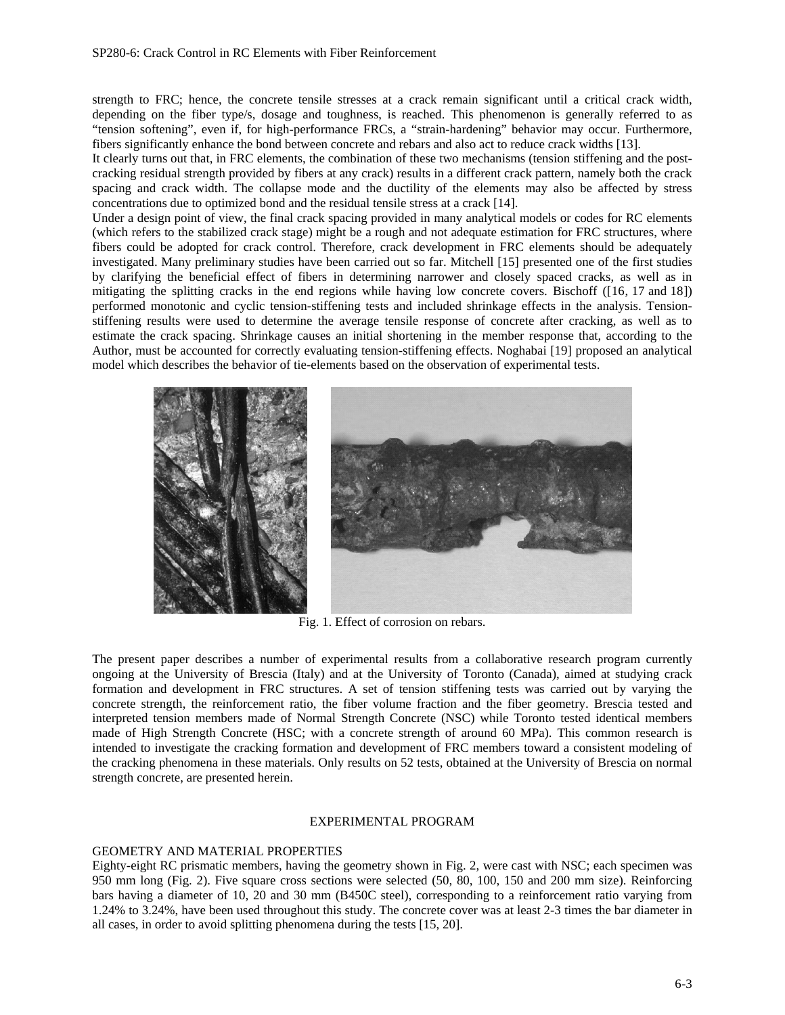strength to FRC; hence, the concrete tensile stresses at a crack remain significant until a critical crack width, depending on the fiber type/s, dosage and toughness, is reached. This phenomenon is generally referred to as "tension softening", even if, for high-performance FRCs, a "strain-hardening" behavior may occur. Furthermore, fibers significantly enhance the bond between concrete and rebars and also act to reduce crack widths [13].

It clearly turns out that, in FRC elements, the combination of these two mechanisms (tension stiffening and the postcracking residual strength provided by fibers at any crack) results in a different crack pattern, namely both the crack spacing and crack width. The collapse mode and the ductility of the elements may also be affected by stress concentrations due to optimized bond and the residual tensile stress at a crack [14].

Under a design point of view, the final crack spacing provided in many analytical models or codes for RC elements (which refers to the stabilized crack stage) might be a rough and not adequate estimation for FRC structures, where fibers could be adopted for crack control. Therefore, crack development in FRC elements should be adequately investigated. Many preliminary studies have been carried out so far. Mitchell [15] presented one of the first studies by clarifying the beneficial effect of fibers in determining narrower and closely spaced cracks, as well as in mitigating the splitting cracks in the end regions while having low concrete covers. Bischoff ([16, 17 and 18]) performed monotonic and cyclic tension-stiffening tests and included shrinkage effects in the analysis. Tensionstiffening results were used to determine the average tensile response of concrete after cracking, as well as to estimate the crack spacing. Shrinkage causes an initial shortening in the member response that, according to the Author, must be accounted for correctly evaluating tension-stiffening effects. Noghabai [19] proposed an analytical model which describes the behavior of tie-elements based on the observation of experimental tests.



Fig. 1. Effect of corrosion on rebars.

The present paper describes a number of experimental results from a collaborative research program currently ongoing at the University of Brescia (Italy) and at the University of Toronto (Canada), aimed at studying crack formation and development in FRC structures. A set of tension stiffening tests was carried out by varying the concrete strength, the reinforcement ratio, the fiber volume fraction and the fiber geometry. Brescia tested and interpreted tension members made of Normal Strength Concrete (NSC) while Toronto tested identical members made of High Strength Concrete (HSC; with a concrete strength of around 60 MPa). This common research is intended to investigate the cracking formation and development of FRC members toward a consistent modeling of the cracking phenomena in these materials. Only results on 52 tests, obtained at the University of Brescia on normal strength concrete, are presented herein.

#### EXPERIMENTAL PROGRAM

# GEOMETRY AND MATERIAL PROPERTIES

Eighty-eight RC prismatic members, having the geometry shown in Fig. 2, were cast with NSC; each specimen was 950 mm long (Fig. 2). Five square cross sections were selected (50, 80, 100, 150 and 200 mm size). Reinforcing bars having a diameter of 10, 20 and 30 mm (B450C steel), corresponding to a reinforcement ratio varying from 1.24% to 3.24%, have been used throughout this study. The concrete cover was at least 2-3 times the bar diameter in all cases, in order to avoid splitting phenomena during the tests [15, 20].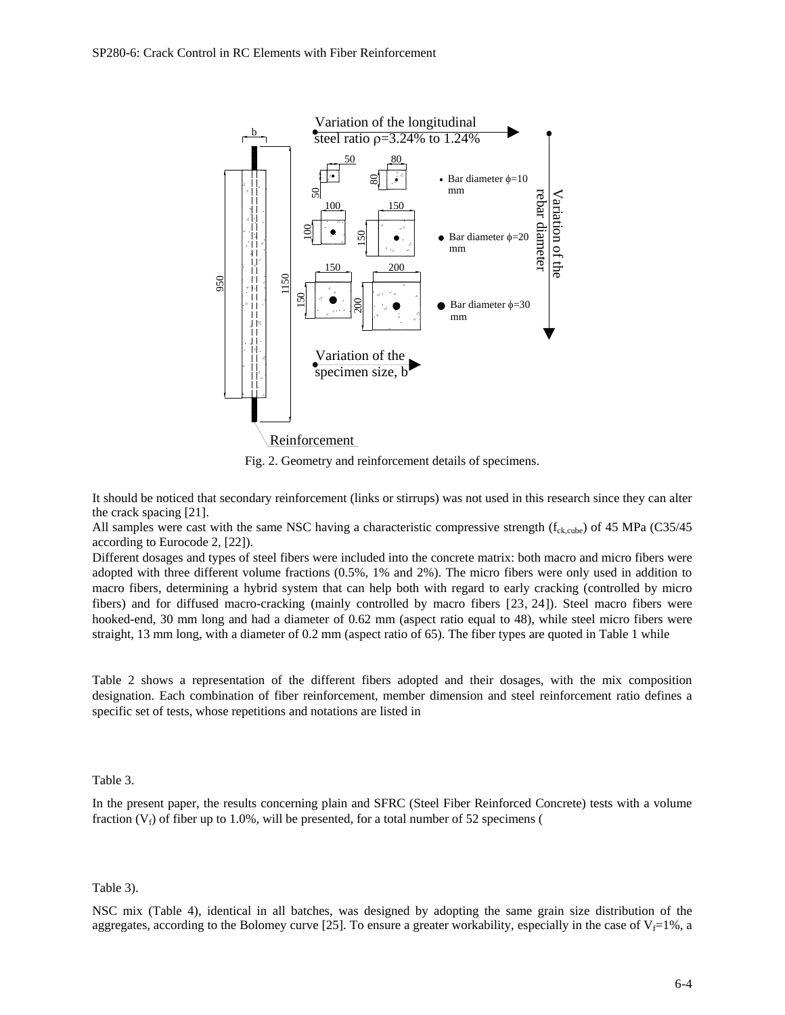

Fig. 2. Geometry and reinforcement details of specimens.

It should be noticed that secondary reinforcement (links or stirrups) was not used in this research since they can alter the crack spacing [21].

All samples were cast with the same NSC having a characteristic compressive strength ( $f_{\text{ck,cube}}$ ) of 45 MPa (C35/45 according to Eurocode 2, [22]).

Different dosages and types of steel fibers were included into the concrete matrix: both macro and micro fibers were adopted with three different volume fractions (0.5%, 1% and 2%). The micro fibers were only used in addition to macro fibers, determining a hybrid system that can help both with regard to early cracking (controlled by micro fibers) and for diffused macro-cracking (mainly controlled by macro fibers [23, 24]). Steel macro fibers were hooked-end, 30 mm long and had a diameter of 0.62 mm (aspect ratio equal to 48), while steel micro fibers were straight, 13 mm long, with a diameter of 0.2 mm (aspect ratio of 65). The fiber types are quoted in Table 1 while

Table 2 shows a representation of the different fibers adopted and their dosages, with the mix composition designation. Each combination of fiber reinforcement, member dimension and steel reinforcement ratio defines a specific set of tests, whose repetitions and notations are listed in

Table 3.

In the present paper, the results concerning plain and SFRC (Steel Fiber Reinforced Concrete) tests with a volume fraction  $(V_f)$  of fiber up to 1.0%, will be presented, for a total number of 52 specimens (

Table 3).

NSC mix (Table 4), identical in all batches, was designed by adopting the same grain size distribution of the aggregates, according to the Bolomey curve [25]. To ensure a greater workability, especially in the case of  $V_f=1\%$ , a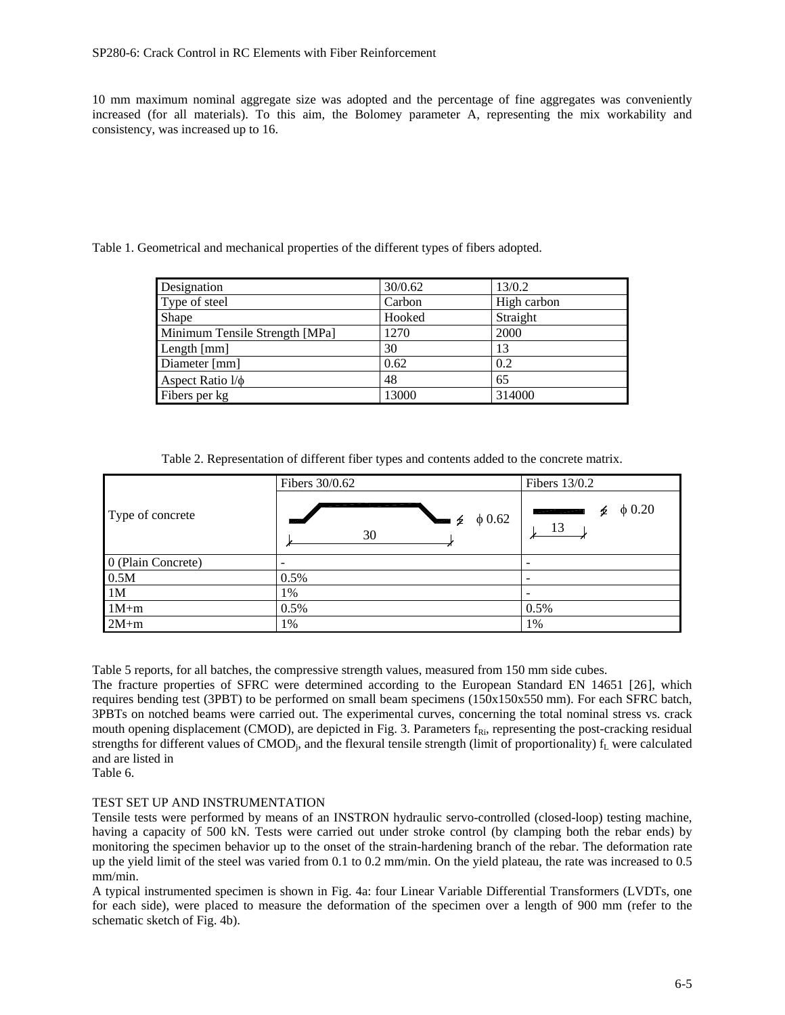10 mm maximum nominal aggregate size was adopted and the percentage of fine aggregates was conveniently increased (for all materials). To this aim, the Bolomey parameter A, representing the mix workability and consistency, was increased up to 16.

Table 1. Geometrical and mechanical properties of the different types of fibers adopted.

| Designation                    | 30/0.62 | 13/0.2      |
|--------------------------------|---------|-------------|
| Type of steel                  | Carbon  | High carbon |
| Shape                          | Hooked  | Straight    |
| Minimum Tensile Strength [MPa] | 1270    | 2000        |
| Length [mm]                    | 30      | 13          |
| Diameter [mm]                  | 0.62    | 0.2         |
| Aspect Ratio $1/\phi$          | 48      | 65          |
| Fibers per kg                  | 13000   | 314000      |

Table 2. Representation of different fiber types and contents added to the concrete matrix.

|                    | Fibers 30/0.62              | Fibers 13/0.2          |  |
|--------------------|-----------------------------|------------------------|--|
| Type of concrete   | $\phi$ 0.62<br>乡<br>▄<br>30 | $\phi$ 0.20<br>Þ<br>13 |  |
| 0 (Plain Concrete) | -                           |                        |  |
| 0.5M               | $0.5\%$                     |                        |  |
| 1 <sub>M</sub>     | 1%                          |                        |  |
| $1M+m$             | $0.5\%$                     | 0.5%                   |  |
| $2M+m$             | 1%                          | 1%                     |  |

Table 5 reports, for all batches, the compressive strength values, measured from 150 mm side cubes.

The fracture properties of SFRC were determined according to the European Standard EN 14651 [26], which requires bending test (3PBT) to be performed on small beam specimens (150x150x550 mm). For each SFRC batch, 3PBTs on notched beams were carried out. The experimental curves, concerning the total nominal stress vs. crack mouth opening displacement (CMOD), are depicted in Fig. 3. Parameters  $f_{\text{R}i}$ , representing the post-cracking residual strengths for different values of CMOD<sub>i</sub>, and the flexural tensile strength (limit of proportionality)  $f<sub>L</sub>$  were calculated and are listed in

Table 6.

# TEST SET UP AND INSTRUMENTATION

Tensile tests were performed by means of an INSTRON hydraulic servo-controlled (closed-loop) testing machine, having a capacity of 500 kN. Tests were carried out under stroke control (by clamping both the rebar ends) by monitoring the specimen behavior up to the onset of the strain-hardening branch of the rebar. The deformation rate up the yield limit of the steel was varied from 0.1 to 0.2 mm/min. On the yield plateau, the rate was increased to 0.5 mm/min.

A typical instrumented specimen is shown in Fig. 4a: four Linear Variable Differential Transformers (LVDTs, one for each side), were placed to measure the deformation of the specimen over a length of 900 mm (refer to the schematic sketch of Fig. 4b).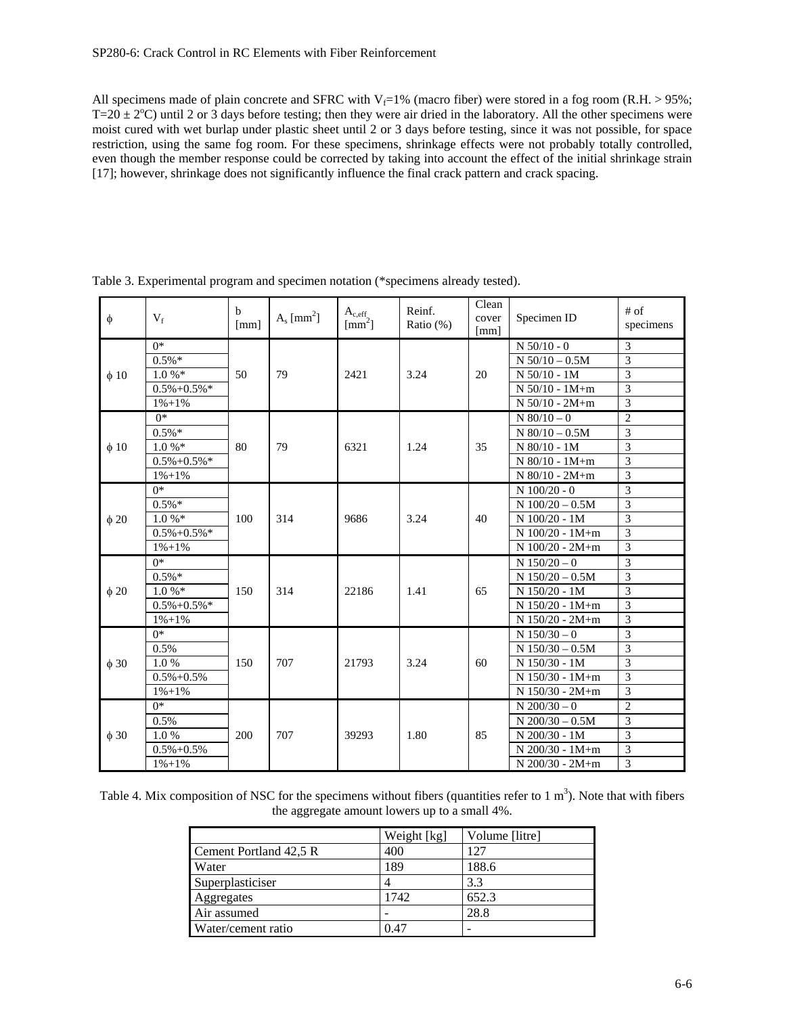All specimens made of plain concrete and SFRC with  $V_f=1%$  (macro fiber) were stored in a fog room (R.H. > 95%;  $T=20 \pm 2^{\circ}$ C) until 2 or 3 days before testing; then they were air dried in the laboratory. All the other specimens were moist cured with wet burlap under plastic sheet until 2 or 3 days before testing, since it was not possible, for space restriction, using the same fog room. For these specimens, shrinkage effects were not probably totally controlled, even though the member response could be corrected by taking into account the effect of the initial shrinkage strain [17]; however, shrinkage does not significantly influence the final crack pattern and crack spacing.

| $\phi$    | $V_f$             | b<br>[mm] | $A_s$ [mm <sup>2</sup> ] | $A_{c,eff}$<br>$\text{[mm}^2$ ] | Reinf.<br>Ratio $(\%)$ | Clean<br>cover<br>[mm] | Specimen ID        | $#$ of<br>specimens |
|-----------|-------------------|-----------|--------------------------|---------------------------------|------------------------|------------------------|--------------------|---------------------|
|           | $\overline{0^*}$  |           |                          |                                 |                        |                        | $N$ 50/10 - 0      | 3                   |
|           | $0.5\%*$          |           |                          |                                 |                        |                        | $N 50/10 - 0.5M$   | $\overline{3}$      |
| $\phi$ 10 | $1.0 \%$          | 50        | 79                       | 2421                            | 3.24                   | 20                     | $N$ 50/10 - 1M     | 3                   |
|           | $0.5\% + 0.5\% *$ |           |                          |                                 |                        |                        | $N 50/10 - 1M+m$   | 3                   |
|           | $1\% + 1\%$       |           |                          |                                 |                        |                        | $N 50/10 - 2M + m$ | 3                   |
|           | $0*$              |           |                          |                                 |                        |                        | $N$ 80/10 - 0      | $\overline{2}$      |
|           | $0.5\%*$          |           |                          |                                 |                        |                        | $N$ 80/10 - 0.5M   | 3                   |
| $\phi$ 10 | $1.0 \%$          | 80        | 79                       | 6321                            | 1.24                   | 35                     | $N$ 80/10 - 1M     | 3                   |
|           | $0.5\% + 0.5\% *$ |           |                          |                                 |                        |                        | $N$ 80/10 - 1M+m   | 3                   |
|           | $1\% + 1\%$       |           |                          |                                 |                        |                        | $N$ 80/10 - 2M+m   | 3                   |
|           | $0*$              |           |                          |                                 |                        |                        | $N$ 100/20 - 0     | 3                   |
|           | $0.5\%*$          |           |                          |                                 |                        |                        | $N$ 100/20 - 0.5M  | 3                   |
| $\phi$ 20 | $1.0 \%$          | 100       | 314                      | 9686                            | 3.24                   | 40                     | $N 100/20 - 1M$    | 3                   |
|           | $0.5\% + 0.5\% *$ |           |                          |                                 |                        |                        | $N$ 100/20 - 1M+m  | $\mathcal{R}$       |
|           | $1\% + 1\%$       |           |                          |                                 |                        |                        | $N$ 100/20 - 2M+m  | 3                   |
|           | $0*$              |           |                          |                                 |                        |                        | $N$ 150/20 - 0     | 3                   |
|           | $0.5\%*$          |           |                          |                                 |                        |                        | $N$ 150/20 - 0.5M  | $\overline{3}$      |
| $\phi$ 20 | $1.0 \%$          | 150       | 314                      | 22186                           | 1.41                   | 65                     | N 150/20 - 1M      | 3                   |
|           | $0.5\% + 0.5\% *$ |           |                          |                                 |                        |                        | $N$ 150/20 - 1M+m  | 3                   |
|           | $1\% + 1\%$       |           |                          |                                 |                        |                        | $N$ 150/20 - 2M+m  | 3                   |
|           | $0*$              |           |                          |                                 |                        |                        | $N$ 150/30 – 0     | 3                   |
|           | 0.5%              |           |                          |                                 |                        |                        | $N$ 150/30 - 0.5M  | 3                   |
| $\phi$ 30 | 1.0%              | 150       | 707                      | 21793                           | 3.24                   | 60                     | N 150/30 - 1M      | 3                   |
|           | $0.5\% + 0.5\%$   |           |                          |                                 |                        |                        | $N$ 150/30 - 1M+m  | 3                   |
|           | $1\% + 1\%$       |           |                          |                                 |                        |                        | $N$ 150/30 - 2M+m  | 3                   |
|           | $0*$              |           |                          |                                 |                        |                        | $N$ 200/30 - 0     | $\overline{2}$      |
|           | 0.5%              |           | 707                      | 39293                           | 1.80                   |                        | $N$ 200/30 - 0.5M  | 3                   |
| $\phi$ 30 | 1.0%              | 200       |                          |                                 |                        | 85                     | $N$ 200/30 - 1M    | 3                   |
|           | $0.5\% + 0.5\%$   |           |                          |                                 |                        |                        | N 200/30 - 1M+m    | 3                   |
|           | $1\% + 1\%$       |           |                          |                                 |                        |                        | $N$ 200/30 - 2M+m  | 3                   |

Table 3. Experimental program and specimen notation (\*specimens already tested).

Table 4. Mix composition of NSC for the specimens without fibers (quantities refer to  $1 \text{ m}^3$ ). Note that with fibers the aggregate amount lowers up to a small 4%.

|                        | Weight [kg] | Volume [litre] |
|------------------------|-------------|----------------|
| Cement Portland 42,5 R | 400         | 127            |
| Water                  | 189         | 188.6          |
| Superplasticiser       | 4           | 3.3            |
| Aggregates             | 1742        | 652.3          |
| Air assumed            |             | 28.8           |
| Water/cement ratio     | በ 47        |                |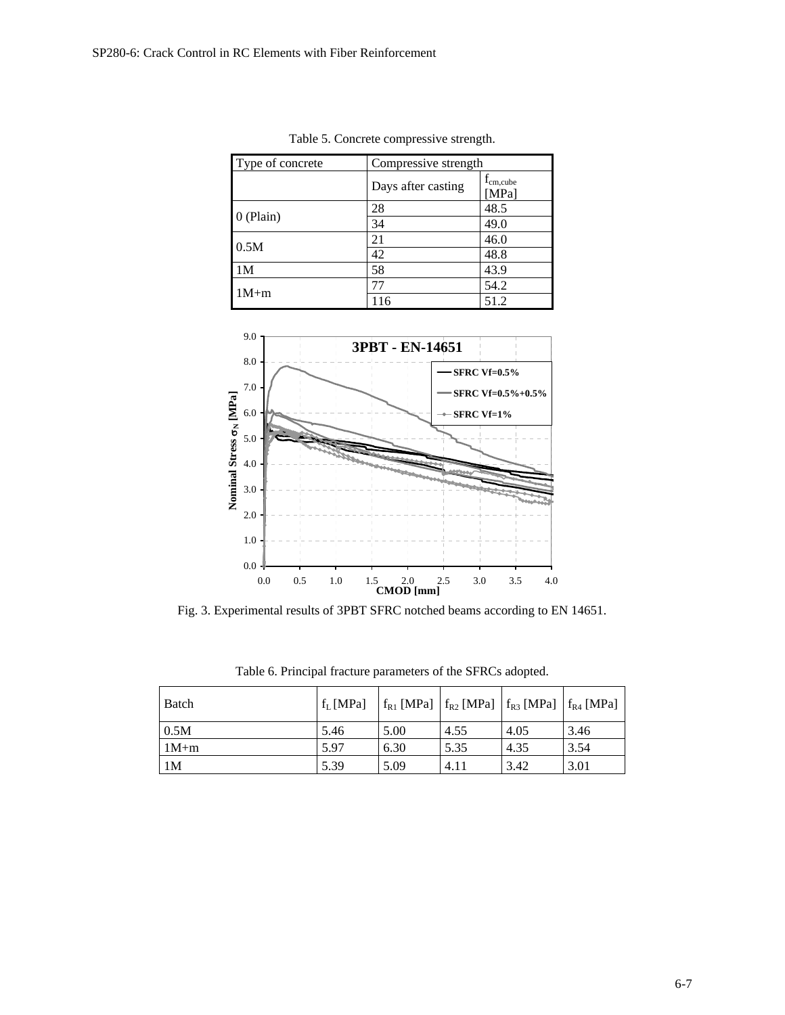| Type of concrete | Compressive strength |                        |  |
|------------------|----------------------|------------------------|--|
|                  | Days after casting   | $f_{cm,cube}$<br>[MPa] |  |
| $0$ (Plain)      | 28                   | 48.5                   |  |
|                  | 34                   | 49.0                   |  |
|                  | 21                   | 46.0                   |  |
| 0.5M             | 42                   | 48.8                   |  |
| 1M               | 58                   | 43.9                   |  |
| $1M+m$           | 77                   | 54.2                   |  |
|                  | 116                  | 51.2                   |  |

Table 5. Concrete compressive strength.



Fig. 3. Experimental results of 3PBT SFRC notched beams according to EN 14651.

| Batch          | $f_L$ [MPa] |      | $ f_{R1}$ [MPa] $ f_{R2}$ [MPa] $ f_{R3}$ [MPa] $ f_{R4}$ [MPa] |      |      |
|----------------|-------------|------|-----------------------------------------------------------------|------|------|
| 0.5M           | 5.46        | 5.00 | 4.55                                                            | 4.05 | 3.46 |
| $1M+m$         | 5.97        | 6.30 | 5.35                                                            | 4.35 | 3.54 |
| 1 <sub>M</sub> | 5.39        | 5.09 | 4.11                                                            | 3.42 | 3.01 |

Table 6. Principal fracture parameters of the SFRCs adopted.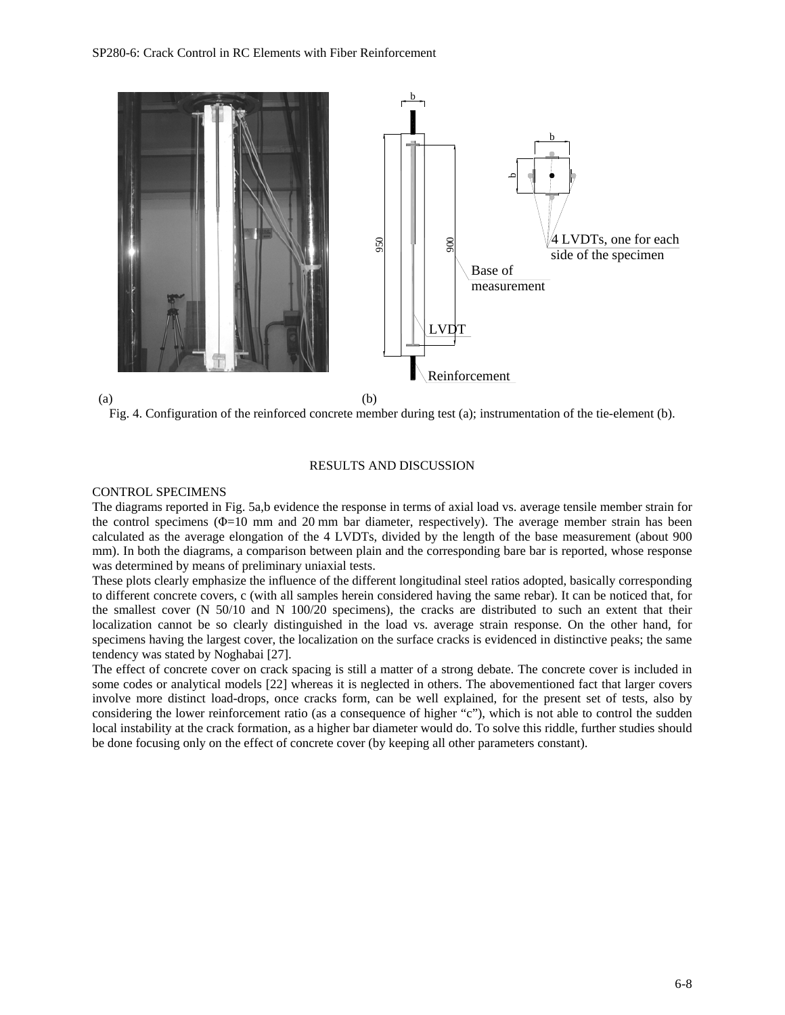

Fig. 4. Configuration of the reinforced concrete member during test (a); instrumentation of the tie-element (b).

### RESULTS AND DISCUSSION

### CONTROL SPECIMENS

The diagrams reported in Fig. 5a,b evidence the response in terms of axial load vs. average tensile member strain for the control specimens (Φ=10 mm and 20 mm bar diameter, respectively). The average member strain has been calculated as the average elongation of the 4 LVDTs, divided by the length of the base measurement (about 900 mm). In both the diagrams, a comparison between plain and the corresponding bare bar is reported, whose response was determined by means of preliminary uniaxial tests.

These plots clearly emphasize the influence of the different longitudinal steel ratios adopted, basically corresponding to different concrete covers, c (with all samples herein considered having the same rebar). It can be noticed that, for the smallest cover (N 50/10 and N 100/20 specimens), the cracks are distributed to such an extent that their localization cannot be so clearly distinguished in the load vs. average strain response. On the other hand, for specimens having the largest cover, the localization on the surface cracks is evidenced in distinctive peaks; the same tendency was stated by Noghabai [27].

The effect of concrete cover on crack spacing is still a matter of a strong debate. The concrete cover is included in some codes or analytical models [22] whereas it is neglected in others. The abovementioned fact that larger covers involve more distinct load-drops, once cracks form, can be well explained, for the present set of tests, also by considering the lower reinforcement ratio (as a consequence of higher "c"), which is not able to control the sudden local instability at the crack formation, as a higher bar diameter would do. To solve this riddle, further studies should be done focusing only on the effect of concrete cover (by keeping all other parameters constant).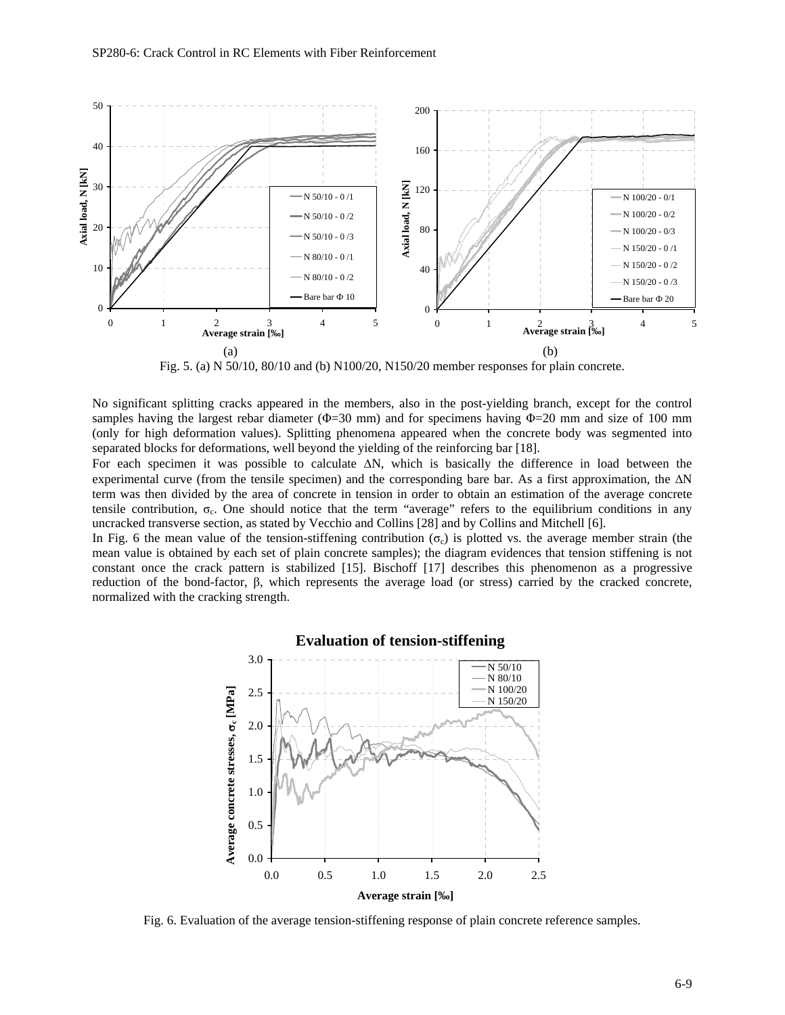

Fig. 5. (a) N 50/10, 80/10 and (b) N100/20, N150/20 member responses for plain concrete.

No significant splitting cracks appeared in the members, also in the post-yielding branch, except for the control samples having the largest rebar diameter ( $\Phi$ =30 mm) and for specimens having  $\Phi$ =20 mm and size of 100 mm (only for high deformation values). Splitting phenomena appeared when the concrete body was segmented into separated blocks for deformations, well beyond the yielding of the reinforcing bar [18].

For each specimen it was possible to calculate  $\Delta N$ , which is basically the difference in load between the experimental curve (from the tensile specimen) and the corresponding bare bar. As a first approximation, the  $\Delta N$ term was then divided by the area of concrete in tension in order to obtain an estimation of the average concrete tensile contribution,  $\sigma_c$ . One should notice that the term "average" refers to the equilibrium conditions in any uncracked transverse section, as stated by Vecchio and Collins [28] and by Collins and Mitchell [6].

In Fig. 6 the mean value of the tension-stiffening contribution ( $\sigma_c$ ) is plotted vs. the average member strain (the mean value is obtained by each set of plain concrete samples); the diagram evidences that tension stiffening is not constant once the crack pattern is stabilized [15]. Bischoff [17] describes this phenomenon as a progressive reduction of the bond-factor, β, which represents the average load (or stress) carried by the cracked concrete, normalized with the cracking strength.



# **Evaluation of tension-stiffening**

Fig. 6. Evaluation of the average tension-stiffening response of plain concrete reference samples.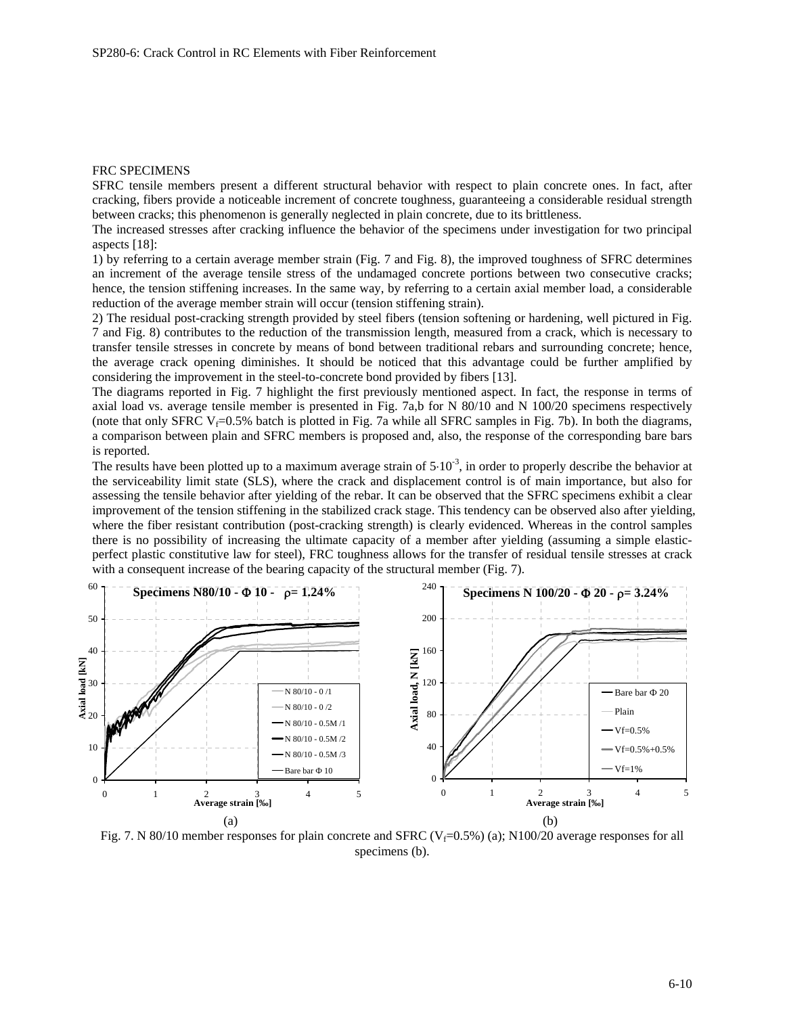#### FRC SPECIMENS

SFRC tensile members present a different structural behavior with respect to plain concrete ones. In fact, after cracking, fibers provide a noticeable increment of concrete toughness, guaranteeing a considerable residual strength between cracks; this phenomenon is generally neglected in plain concrete, due to its brittleness.

The increased stresses after cracking influence the behavior of the specimens under investigation for two principal aspects [18]:

1) by referring to a certain average member strain (Fig. 7 and Fig. 8), the improved toughness of SFRC determines an increment of the average tensile stress of the undamaged concrete portions between two consecutive cracks; hence, the tension stiffening increases. In the same way, by referring to a certain axial member load, a considerable reduction of the average member strain will occur (tension stiffening strain).

2) The residual post-cracking strength provided by steel fibers (tension softening or hardening, well pictured in Fig. 7 and Fig. 8) contributes to the reduction of the transmission length, measured from a crack, which is necessary to transfer tensile stresses in concrete by means of bond between traditional rebars and surrounding concrete; hence, the average crack opening diminishes. It should be noticed that this advantage could be further amplified by considering the improvement in the steel-to-concrete bond provided by fibers [13].

The diagrams reported in Fig. 7 highlight the first previously mentioned aspect. In fact, the response in terms of axial load vs. average tensile member is presented in Fig. 7a,b for N 80/10 and N 100/20 specimens respectively (note that only SFRC V<sub>f</sub>=0.5% batch is plotted in Fig. 7a while all SFRC samples in Fig. 7b). In both the diagrams, a comparison between plain and SFRC members is proposed and, also, the response of the corresponding bare bars is reported.

The results have been plotted up to a maximum average strain of  $5·10<sup>-3</sup>$ , in order to properly describe the behavior at the serviceability limit state (SLS), where the crack and displacement control is of main importance, but also for assessing the tensile behavior after yielding of the rebar. It can be observed that the SFRC specimens exhibit a clear improvement of the tension stiffening in the stabilized crack stage. This tendency can be observed also after yielding, where the fiber resistant contribution (post-cracking strength) is clearly evidenced. Whereas in the control samples there is no possibility of increasing the ultimate capacity of a member after yielding (assuming a simple elasticperfect plastic constitutive law for steel), FRC toughness allows for the transfer of residual tensile stresses at crack with a consequent increase of the bearing capacity of the structural member (Fig. 7).



Fig. 7. N 80/10 member responses for plain concrete and SFRC ( $V_f$ =0.5%) (a); N100/20 average responses for all specimens (b).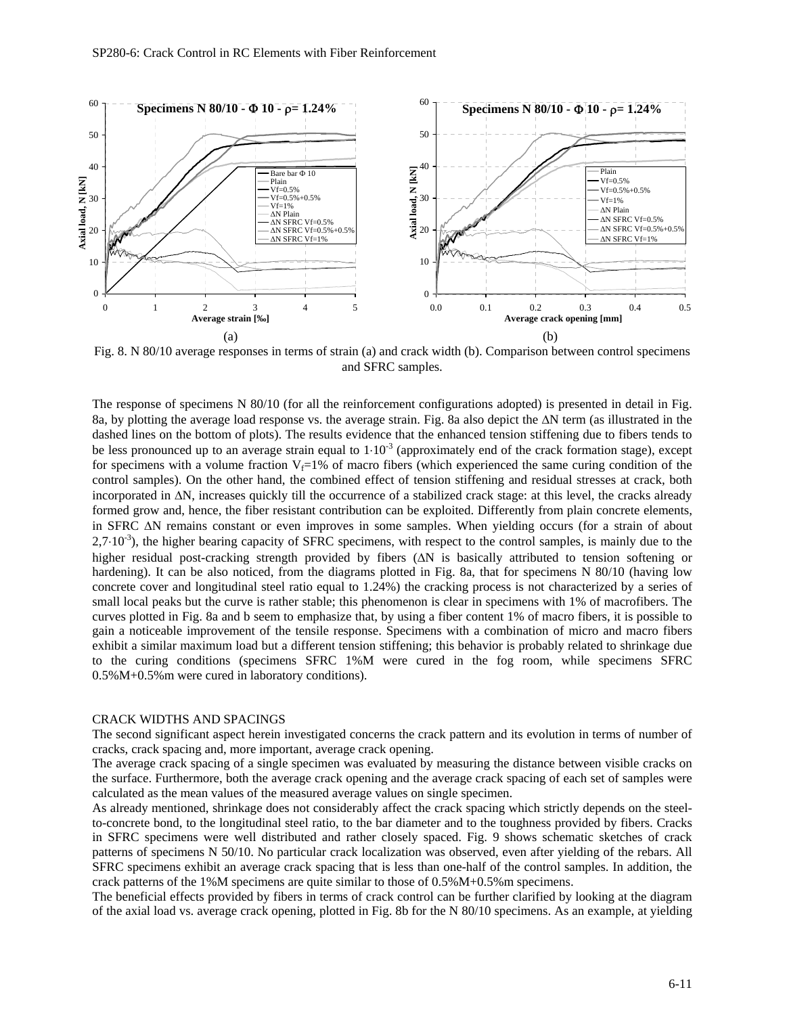

Fig. 8. N 80/10 average responses in terms of strain (a) and crack width (b). Comparison between control specimens and SFRC samples.

The response of specimens N 80/10 (for all the reinforcement configurations adopted) is presented in detail in Fig. 8a, by plotting the average load response vs. the average strain. Fig. 8a also depict the  $\Delta N$  term (as illustrated in the dashed lines on the bottom of plots). The results evidence that the enhanced tension stiffening due to fibers tends to be less pronounced up to an average strain equal to  $1 \cdot 10^{-3}$  (approximately end of the crack formation stage), except for specimens with a volume fraction  $V_f=1\%$  of macro fibers (which experienced the same curing condition of the control samples). On the other hand, the combined effect of tension stiffening and residual stresses at crack, both incorporated in  $\Delta N$ , increases quickly till the occurrence of a stabilized crack stage: at this level, the cracks already formed grow and, hence, the fiber resistant contribution can be exploited. Differently from plain concrete elements, in SFRC  $\Delta N$  remains constant or even improves in some samples. When yielding occurs (for a strain of about  $2,7\cdot10^{-3}$ ), the higher bearing capacity of SFRC specimens, with respect to the control samples, is mainly due to the higher residual post-cracking strength provided by fibers  $( \Delta N )$  is basically attributed to tension softening or hardening). It can be also noticed, from the diagrams plotted in Fig. 8a, that for specimens N 80/10 (having low concrete cover and longitudinal steel ratio equal to 1.24%) the cracking process is not characterized by a series of small local peaks but the curve is rather stable; this phenomenon is clear in specimens with 1% of macrofibers. The curves plotted in Fig. 8a and b seem to emphasize that, by using a fiber content 1% of macro fibers, it is possible to gain a noticeable improvement of the tensile response. Specimens with a combination of micro and macro fibers exhibit a similar maximum load but a different tension stiffening; this behavior is probably related to shrinkage due to the curing conditions (specimens SFRC 1%M were cured in the fog room, while specimens SFRC 0.5%M+0.5%m were cured in laboratory conditions).

### CRACK WIDTHS AND SPACINGS

The second significant aspect herein investigated concerns the crack pattern and its evolution in terms of number of cracks, crack spacing and, more important, average crack opening.

The average crack spacing of a single specimen was evaluated by measuring the distance between visible cracks on the surface. Furthermore, both the average crack opening and the average crack spacing of each set of samples were calculated as the mean values of the measured average values on single specimen.

As already mentioned, shrinkage does not considerably affect the crack spacing which strictly depends on the steelto-concrete bond, to the longitudinal steel ratio, to the bar diameter and to the toughness provided by fibers. Cracks in SFRC specimens were well distributed and rather closely spaced. Fig. 9 shows schematic sketches of crack patterns of specimens N 50/10. No particular crack localization was observed, even after yielding of the rebars. All SFRC specimens exhibit an average crack spacing that is less than one-half of the control samples. In addition, the crack patterns of the 1%M specimens are quite similar to those of 0.5%M+0.5%m specimens.

The beneficial effects provided by fibers in terms of crack control can be further clarified by looking at the diagram of the axial load vs. average crack opening, plotted in Fig. 8b for the N 80/10 specimens. As an example, at yielding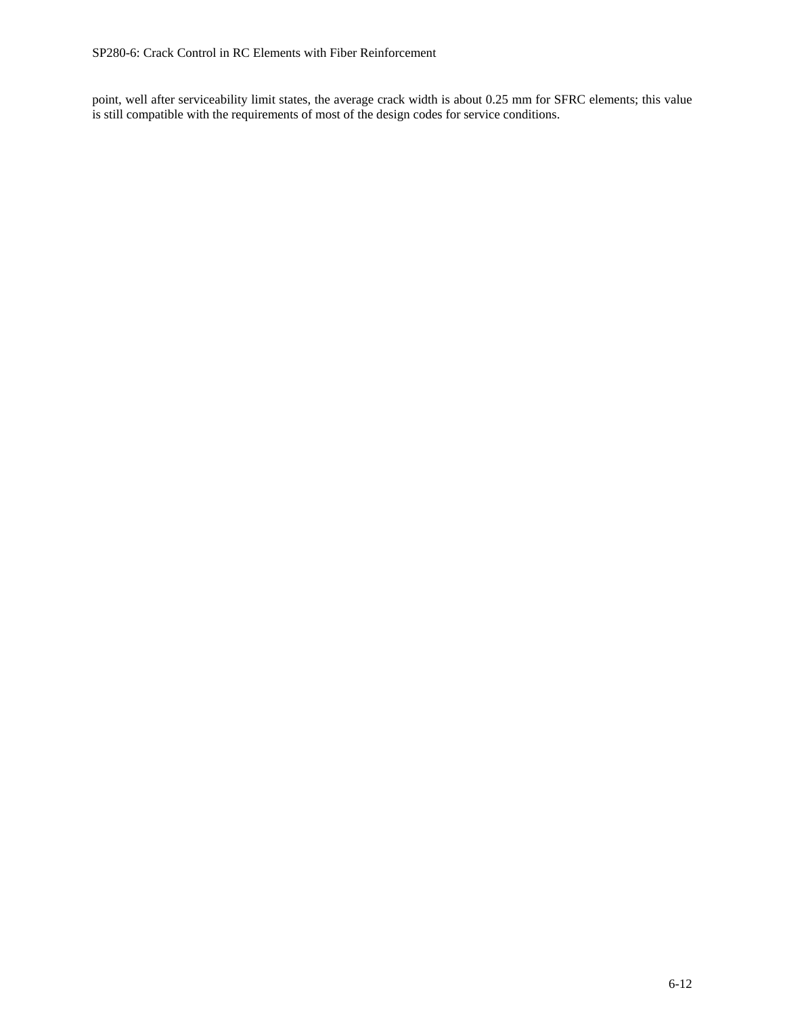point, well after serviceability limit states, the average crack width is about 0.25 mm for SFRC elements; this value is still compatible with the requirements of most of the design codes for service conditions.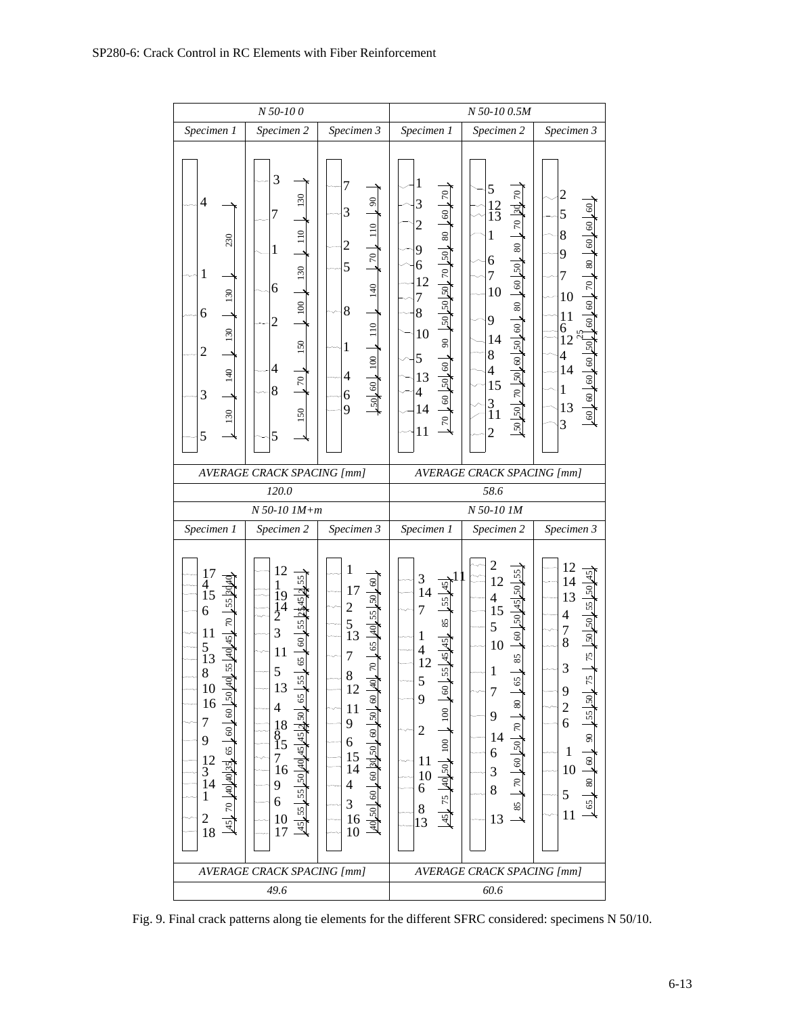| $N$ 50-10 $\theta$                                                                                                                                                                                                                                                                             |                                                                                                                                                                                                                                                     |                                                                                                                                                                                                                                                                                                                                                                        | N 50-1000.5M                                                                                                                                                                                                                                                  |                                                                                                                                                                                                                                                       |                                                                                                                                                                                                                               |  |
|------------------------------------------------------------------------------------------------------------------------------------------------------------------------------------------------------------------------------------------------------------------------------------------------|-----------------------------------------------------------------------------------------------------------------------------------------------------------------------------------------------------------------------------------------------------|------------------------------------------------------------------------------------------------------------------------------------------------------------------------------------------------------------------------------------------------------------------------------------------------------------------------------------------------------------------------|---------------------------------------------------------------------------------------------------------------------------------------------------------------------------------------------------------------------------------------------------------------|-------------------------------------------------------------------------------------------------------------------------------------------------------------------------------------------------------------------------------------------------------|-------------------------------------------------------------------------------------------------------------------------------------------------------------------------------------------------------------------------------|--|
| Specimen 2<br>Specimen 3<br>Specimen 1                                                                                                                                                                                                                                                         |                                                                                                                                                                                                                                                     |                                                                                                                                                                                                                                                                                                                                                                        | Specimen 1                                                                                                                                                                                                                                                    | Specimen 2                                                                                                                                                                                                                                            | Specimen 3                                                                                                                                                                                                                    |  |
| $\overline{4}$<br>230<br>$\mathbf{1}$<br>130<br>6<br>130<br>2<br>140<br>3<br>130<br>5                                                                                                                                                                                                          | 3<br>130<br>7<br>110<br>$\mathbf{1}$<br>130<br>6<br>.100<br>$\overline{2}$<br>150<br>4<br>$\approx$<br>8<br>150<br>5                                                                                                                                | 7<br>$\boldsymbol{\mathcal{S}}$<br>3<br>110<br>$\overline{c}$<br>0 <sup>1</sup><br>5<br>140<br>8<br>$\frac{110}{100}$<br>1<br>$.50\downarrow 60\downarrow 100$<br>4<br>6<br>9                                                                                                                                                                                          | $\mathbf 1$<br>$\tilde{\mathcal{L}}$<br>3<br>$\overline{60}$<br>$\overline{c}$<br>$\frac{80}{1}$<br>9<br>$50\,$ 07 $\sqrt{05}$ 07 $\sqrt{05}$<br>6<br>12<br>7<br>8<br>10<br>$\overline{6}$<br>5<br>$50\,$ 50 $\,$ 60<br>13<br>4<br>14<br>$\overline{0}$<br>11 | 5<br>$170$ 30.70<br>$\frac{12}{13}$<br>$\mathbf{1}$<br>$50\,$ $\sqrt{30}$ $\sqrt{80}$<br>6<br>$\overline{7}$<br>10<br>$\frac{80}{2}$<br>9<br>$50\,50\,00\,50\,50\,50\,50\,$ وط<br>14<br>8<br>$\overline{4}$<br>15<br>$\frac{3}{11}$<br>$\overline{c}$ | $\overline{c}$<br>5<br>$.80\,100$<br>8<br>9<br>7<br>$\approx$<br>10<br>8<br>11<br>6<br>12<br>50<br>$\overline{\mathcal{L}}$<br>$100/00$ (0)<br>14<br>1<br>13<br>3                                                             |  |
|                                                                                                                                                                                                                                                                                                | <b>AVERAGE CRACK SPACING [mm]</b>                                                                                                                                                                                                                   |                                                                                                                                                                                                                                                                                                                                                                        | <b>AVERAGE CRACK SPACING [mm]</b>                                                                                                                                                                                                                             |                                                                                                                                                                                                                                                       |                                                                                                                                                                                                                               |  |
| 120.0                                                                                                                                                                                                                                                                                          |                                                                                                                                                                                                                                                     |                                                                                                                                                                                                                                                                                                                                                                        | 58.6                                                                                                                                                                                                                                                          |                                                                                                                                                                                                                                                       |                                                                                                                                                                                                                               |  |
|                                                                                                                                                                                                                                                                                                | $N 50-10$ $1M+m$                                                                                                                                                                                                                                    |                                                                                                                                                                                                                                                                                                                                                                        | N 50-10 1M                                                                                                                                                                                                                                                    |                                                                                                                                                                                                                                                       |                                                                                                                                                                                                                               |  |
| Specimen 1<br>Specimen 2<br>Specimen 3                                                                                                                                                                                                                                                         |                                                                                                                                                                                                                                                     |                                                                                                                                                                                                                                                                                                                                                                        | Specimen 1                                                                                                                                                                                                                                                    | Specimen 2                                                                                                                                                                                                                                            | Specimen 3                                                                                                                                                                                                                    |  |
| $\frac{17}{4}$<br>Σ<br>15<br>55<br>6<br>R<br>11<br>45<br>$\frac{5}{13}$<br>$\frac{40}{3}$<br>55<br>8<br>10<br>50<br>16<br>$\overline{6}$<br>$\overline{7}$<br>$\overline{.}60$<br>9<br>40 40 35 65<br>$\frac{12}{3}$<br>$\mathbf{1}$<br>$\overline{70}$<br>$\overline{\mathbf{c}}$<br>45<br>18 | 12<br>1<br>$-60$ $55$ $245$ $2$<br>$\frac{19}{2}$<br>3<br>11<br>65<br>5<br>55<br>13<br>65<br>$\overline{4}$<br>404545250<br>$^{18}_{8}$<br>15<br>$\frac{7}{16}$<br>55 55 50<br>9<br>$\overline{6}$<br>$\begin{array}{c} 10 \\ 17 \end{array}$<br>45 | 1<br>$\overline{60}$<br>17<br>50 <sub>1</sub><br>$\overline{c}$<br>55  40 <br>$\frac{5}{13}$<br>7<br>$\overline{\mathcal{R}}$<br>8<br>$\frac{4}{5}$<br>12<br>$\frac{60}{ }$<br>11<br>50<br>9<br>$\frac{60}{1}$<br>6<br>$.60$ $ 30 $ 50<br>$\frac{15}{14}$<br>$\overline{4}$<br>$\overline{60}$<br>3<br>50 <sub>l</sub><br>$\begin{array}{c} 16 \\ 10 \end{array}$<br>इ | 3<br>$\frac{45}{5}$<br>14<br>55<br>7<br>85<br>$\mathbf{1}$<br>55  45 <br>$\overline{4}$<br>12<br>5<br>$\mathcal{S}$<br>9<br>100<br>$\overline{c}$<br>.100<br>11<br>40,50<br>10<br>6<br>.75<br>$\frac{8}{13}$<br>45                                            | $\overline{c}$<br>55<br>12<br>50 45 50<br>$\overline{\mathcal{A}}$<br>15<br>5<br>$\overline{6}$<br>10<br>85<br>$\mathbf{1}$<br>65<br>$\overline{7}$<br>80<br>9<br>$-70$<br>14<br>$50^{50}$<br>6<br>3<br>$\overline{70}$<br>8<br>85<br>13              | 12<br>14<br>13<br>55<br>$\overline{\mathcal{L}}$<br>$50\,$<br>$\frac{7}{8}$<br>50 <sub>1</sub><br>$\frac{1}{2}$<br>3<br>75<br>9<br>$\frac{2}{6}$<br>55<br>$\overline{6}$<br>$\mathbf{1}$<br>$60\,$<br>10<br>$80\,$<br>5<br>11 |  |
|                                                                                                                                                                                                                                                                                                |                                                                                                                                                                                                                                                     |                                                                                                                                                                                                                                                                                                                                                                        |                                                                                                                                                                                                                                                               |                                                                                                                                                                                                                                                       |                                                                                                                                                                                                                               |  |
|                                                                                                                                                                                                                                                                                                | <b>AVERAGE CRACK SPACING [mm]</b><br>49.6                                                                                                                                                                                                           |                                                                                                                                                                                                                                                                                                                                                                        |                                                                                                                                                                                                                                                               | <b>AVERAGE CRACK SPACING [mm]</b><br>60.6                                                                                                                                                                                                             |                                                                                                                                                                                                                               |  |

Fig. 9. Final crack patterns along tie elements for the different SFRC considered: specimens N 50/10.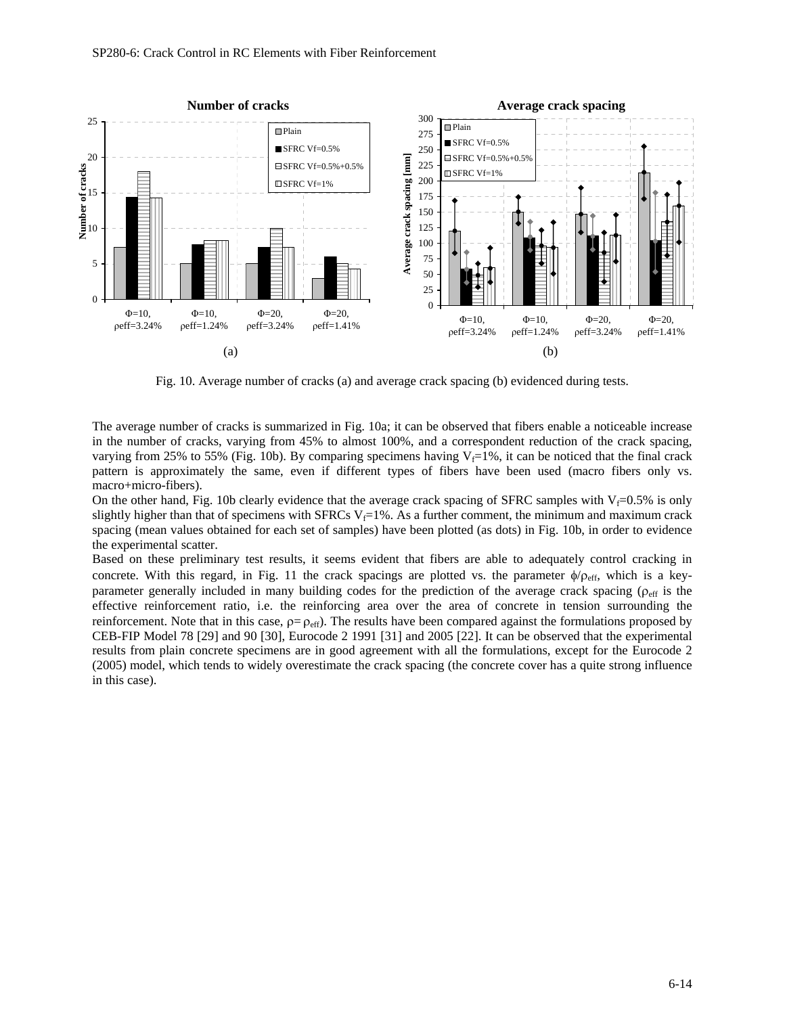

Fig. 10. Average number of cracks (a) and average crack spacing (b) evidenced during tests.

The average number of cracks is summarized in Fig. 10a; it can be observed that fibers enable a noticeable increase in the number of cracks, varying from 45% to almost 100%, and a correspondent reduction of the crack spacing, varying from 25% to 55% (Fig. 10b). By comparing specimens having  $V_f=1\%$ , it can be noticed that the final crack pattern is approximately the same, even if different types of fibers have been used (macro fibers only vs. macro+micro-fibers).

On the other hand, Fig. 10b clearly evidence that the average crack spacing of SFRC samples with  $V_f=0.5\%$  is only slightly higher than that of specimens with SFRCs V<sub>f</sub>=1%. As a further comment, the minimum and maximum crack spacing (mean values obtained for each set of samples) have been plotted (as dots) in Fig. 10b, in order to evidence the experimental scatter.

Based on these preliminary test results, it seems evident that fibers are able to adequately control cracking in concrete. With this regard, in Fig. 11 the crack spacings are plotted vs. the parameter  $\phi/\rho_{\rm eff}$ , which is a keyparameter generally included in many building codes for the prediction of the average crack spacing ( $\rho_{\text{eff}}$  is the effective reinforcement ratio, i.e. the reinforcing area over the area of concrete in tension surrounding the reinforcement. Note that in this case,  $p = p_{\text{eff}}$ . The results have been compared against the formulations proposed by CEB-FIP Model 78 [29] and 90 [30], Eurocode 2 1991 [31] and 2005 [22]. It can be observed that the experimental results from plain concrete specimens are in good agreement with all the formulations, except for the Eurocode 2 (2005) model, which tends to widely overestimate the crack spacing (the concrete cover has a quite strong influence in this case).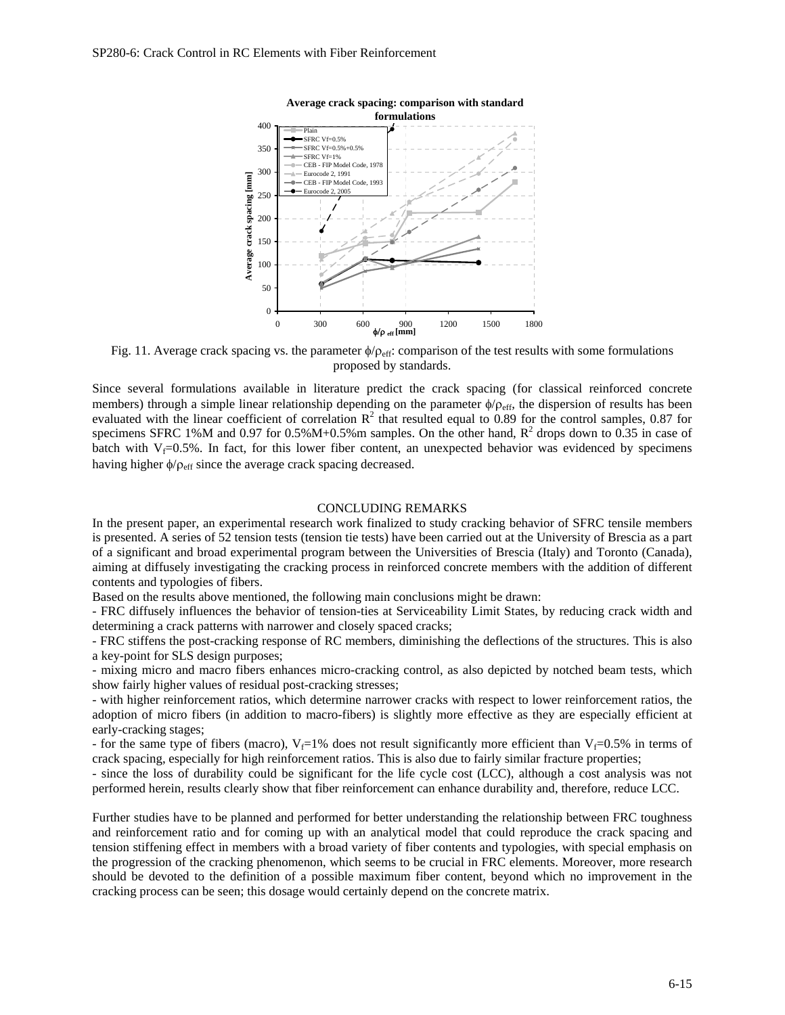

Fig. 11. Average crack spacing vs. the parameter  $\phi/\rho_{\text{eff}}$ : comparison of the test results with some formulations proposed by standards.

Since several formulations available in literature predict the crack spacing (for classical reinforced concrete members) through a simple linear relationship depending on the parameter  $\phi/\rho_{eff}$ , the dispersion of results has been evaluated with the linear coefficient of correlation  $R^2$  that resulted equal to 0.89 for the control samples, 0.87 for specimens SFRC 1%M and 0.97 for 0.5%M+0.5%m samples. On the other hand,  $R^2$  drops down to 0.35 in case of batch with  $V_f=0.5%$ . In fact, for this lower fiber content, an unexpected behavior was evidenced by specimens having higher  $\phi/\rho_{\text{eff}}$  since the average crack spacing decreased.

#### CONCLUDING REMARKS

In the present paper, an experimental research work finalized to study cracking behavior of SFRC tensile members is presented. A series of 52 tension tests (tension tie tests) have been carried out at the University of Brescia as a part of a significant and broad experimental program between the Universities of Brescia (Italy) and Toronto (Canada), aiming at diffusely investigating the cracking process in reinforced concrete members with the addition of different contents and typologies of fibers.

Based on the results above mentioned, the following main conclusions might be drawn:

- FRC diffusely influences the behavior of tension-ties at Serviceability Limit States, by reducing crack width and determining a crack patterns with narrower and closely spaced cracks;

- FRC stiffens the post-cracking response of RC members, diminishing the deflections of the structures. This is also a key-point for SLS design purposes;

- mixing micro and macro fibers enhances micro-cracking control, as also depicted by notched beam tests, which show fairly higher values of residual post-cracking stresses;

- with higher reinforcement ratios, which determine narrower cracks with respect to lower reinforcement ratios, the adoption of micro fibers (in addition to macro-fibers) is slightly more effective as they are especially efficient at early-cracking stages;

- for the same type of fibers (macro),  $V_f=1\%$  does not result significantly more efficient than  $V_f=0.5\%$  in terms of crack spacing, especially for high reinforcement ratios. This is also due to fairly similar fracture properties;

- since the loss of durability could be significant for the life cycle cost (LCC), although a cost analysis was not performed herein, results clearly show that fiber reinforcement can enhance durability and, therefore, reduce LCC.

Further studies have to be planned and performed for better understanding the relationship between FRC toughness and reinforcement ratio and for coming up with an analytical model that could reproduce the crack spacing and tension stiffening effect in members with a broad variety of fiber contents and typologies, with special emphasis on the progression of the cracking phenomenon, which seems to be crucial in FRC elements. Moreover, more research should be devoted to the definition of a possible maximum fiber content, beyond which no improvement in the cracking process can be seen; this dosage would certainly depend on the concrete matrix.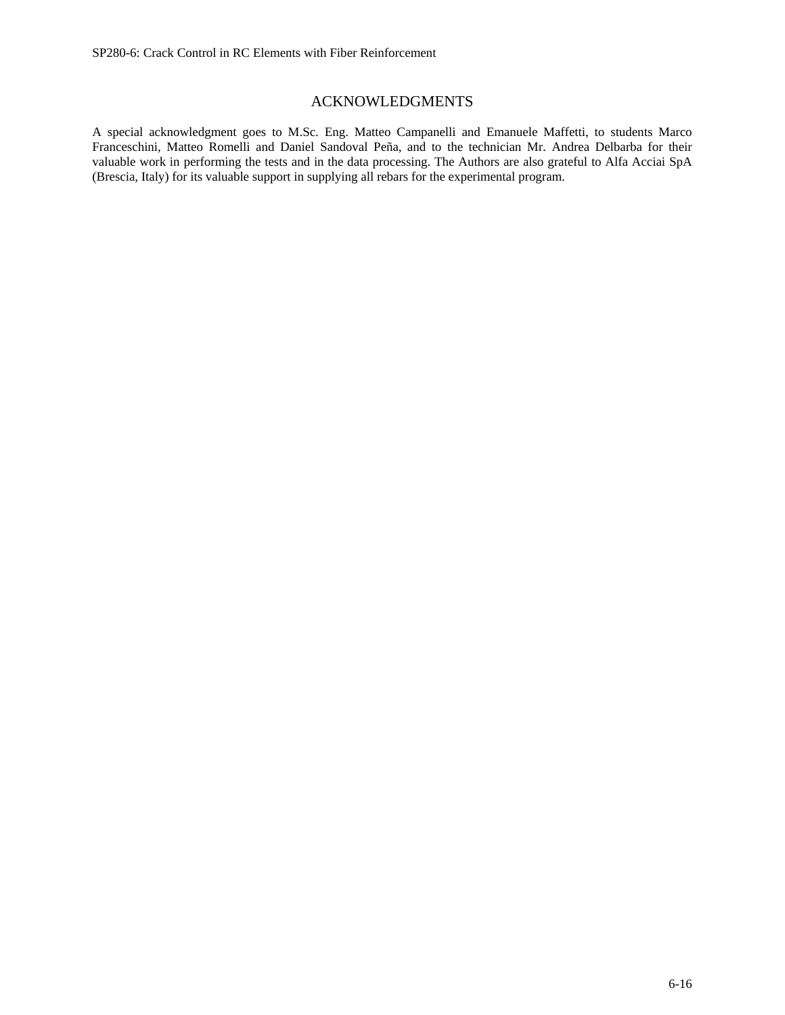# ACKNOWLEDGMENTS

A special acknowledgment goes to M.Sc. Eng. Matteo Campanelli and Emanuele Maffetti, to students Marco Franceschini, Matteo Romelli and Daniel Sandoval Peña, and to the technician Mr. Andrea Delbarba for their valuable work in performing the tests and in the data processing. The Authors are also grateful to Alfa Acciai SpA (Brescia, Italy) for its valuable support in supplying all rebars for the experimental program.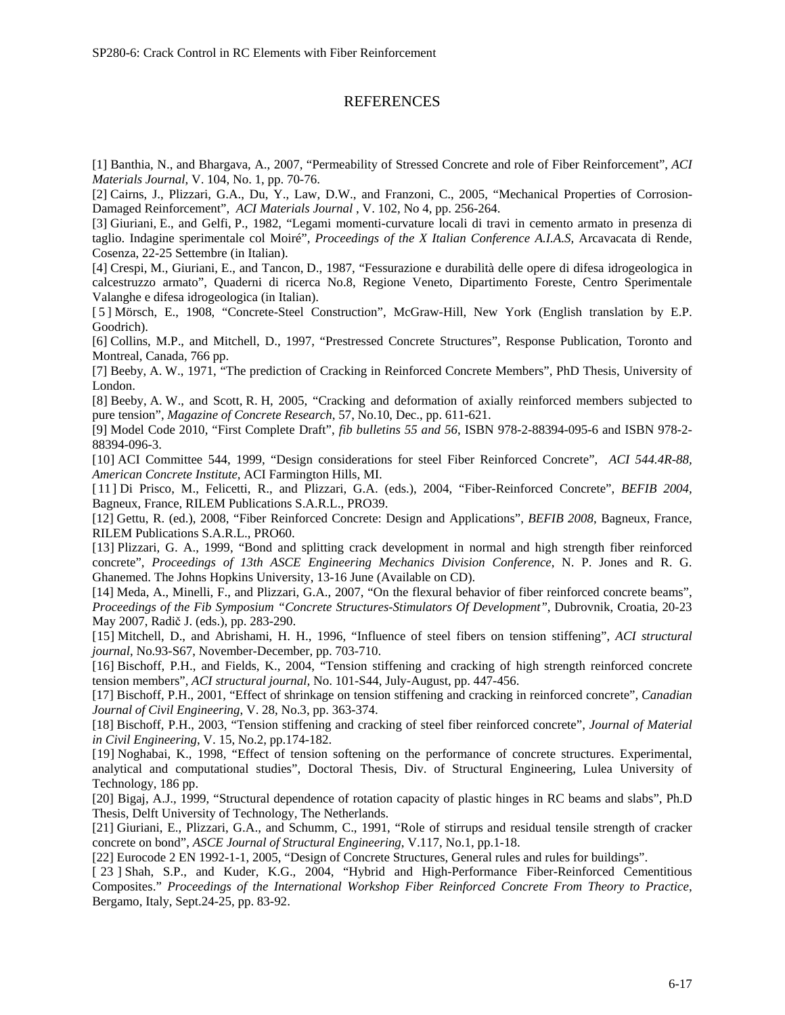# REFERENCES

[1] Banthia, N., and Bhargava, A., 2007, "Permeability of Stressed Concrete and role of Fiber Reinforcement", *ACI Materials Journal*, V. 104, No. 1, pp. 70-76.

[2] Cairns, J., Plizzari, G.A., Du, Y., Law, D.W., and Franzoni, C., 2005, "Mechanical Properties of Corrosion-Damaged Reinforcement", *ACI Materials Journal* , V. 102, No 4, pp. 256-264.

[3] Giuriani, E., and Gelfi, P., 1982, "Legami momenti-curvature locali di travi in cemento armato in presenza di taglio. Indagine sperimentale col Moiré", *Proceedings of the X Italian Conference A.I.A.S,* Arcavacata di Rende, Cosenza, 22-25 Settembre (in Italian).

[4] Crespi, M., Giuriani, E., and Tancon, D., 1987, "Fessurazione e durabilità delle opere di difesa idrogeologica in calcestruzzo armato", Quaderni di ricerca No.8, Regione Veneto, Dipartimento Foreste, Centro Sperimentale Valanghe e difesa idrogeologica (in Italian).

[ 5 ] Mörsch, E., 1908, "Concrete-Steel Construction", McGraw-Hill, New York (English translation by E.P. Goodrich).

[6] Collins, M.P., and Mitchell, D., 1997, "Prestressed Concrete Structures", Response Publication, Toronto and Montreal, Canada, 766 pp.

[7] Beeby, A. W., 1971, "The prediction of Cracking in Reinforced Concrete Members", PhD Thesis, University of London.

[8] Beeby, A. W., and Scott, R. H, 2005, "Cracking and deformation of axially reinforced members subjected to pure tension", *Magazine of Concrete Research*, 57, No.10, Dec., pp. 611-621.

[9] Model Code 2010, "First Complete Draft", *fib bulletins 55 and 56*, ISBN 978-2-88394-095-6 and ISBN 978-2- 88394-096-3.

[10] ACI Committee 544, 1999, "Design considerations for steel Fiber Reinforced Concrete", *ACI 544.4R-88, American Concrete Institute*, ACI Farmington Hills, MI.

[11] Di Prisco, M., Felicetti, R., and Plizzari, G.A. (eds.), 2004, "Fiber-Reinforced Concrete", *BEFIB 2004*, Bagneux, France, RILEM Publications S.A.R.L., PRO39.

[12] Gettu, R. (ed.), 2008, "Fiber Reinforced Concrete: Design and Applications", *BEFIB 2008*, Bagneux, France, RILEM Publications S.A.R.L., PRO60.

[13] Plizzari, G. A., 1999, "Bond and splitting crack development in normal and high strength fiber reinforced concrete", *Proceedings of 13th ASCE Engineering Mechanics Division Conference*, N. P. Jones and R. G. Ghanemed. The Johns Hopkins University, 13-16 June (Available on CD).

[14] Meda, A., Minelli, F., and Plizzari, G.A., 2007, "On the flexural behavior of fiber reinforced concrete beams", *Proceedings of the Fib Symposium "Concrete Structures-Stimulators Of Development"*, Dubrovnik, Croatia, 20-23 May 2007, Radič J. (eds.), pp. 283-290.

[15] Mitchell, D., and Abrishami, H. H., 1996, "Influence of steel fibers on tension stiffening", *ACI structural journal*, No.93-S67, November-December, pp. 703-710.

[16] Bischoff, P.H., and Fields, K., 2004, "Tension stiffening and cracking of high strength reinforced concrete tension members", *ACI structural journal,* No. 101-S44, July-August, pp. 447-456.

[17] Bischoff, P.H., 2001, "Effect of shrinkage on tension stiffening and cracking in reinforced concrete", *Canadian Journal of Civil Engineering*, V. 28, No.3, pp. 363-374.

[18] Bischoff, P.H., 2003, "Tension stiffening and cracking of steel fiber reinforced concrete", *Journal of Material in Civil Engineering*, V. 15, No.2, pp.174-182.

[19] Noghabai, K., 1998, "Effect of tension softening on the performance of concrete structures. Experimental, analytical and computational studies", Doctoral Thesis, Div. of Structural Engineering, Lulea University of Technology, 186 pp.

[20] Bigaj, A.J., 1999, "Structural dependence of rotation capacity of plastic hinges in RC beams and slabs", Ph.D Thesis, Delft University of Technology, The Netherlands.

[21] Giuriani, E., Plizzari, G.A., and Schumm, C., 1991, "Role of stirrups and residual tensile strength of cracker concrete on bond", *ASCE Journal of Structural Engineering*, V.117, No.1, pp.1-18.

[22] Eurocode 2 EN 1992-1-1, 2005, "Design of Concrete Structures, General rules and rules for buildings".

[ 23 ] Shah, S.P., and Kuder, K.G., 2004, "Hybrid and High-Performance Fiber-Reinforced Cementitious Composites." *Proceedings of the International Workshop Fiber Reinforced Concrete From Theory to Practice*, Bergamo, Italy, Sept.24-25, pp. 83-92.